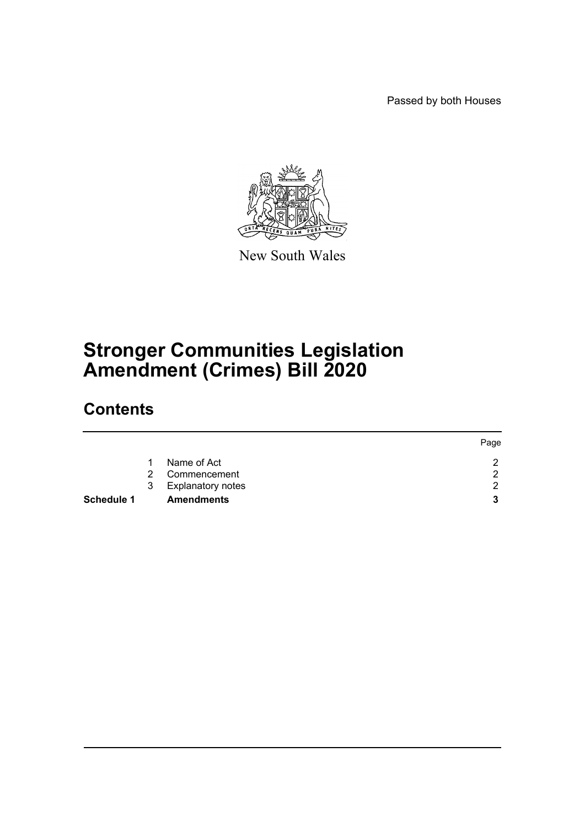Passed by both Houses



New South Wales

# **Stronger Communities Legislation Amendment (Crimes) Bill 2020**

# **Contents**

|            |               |                          | Page |
|------------|---------------|--------------------------|------|
|            |               | Name of Act              | ⌒    |
|            | $\mathcal{P}$ | Commencement             | റ    |
|            | 3             | <b>Explanatory notes</b> | ◠    |
| Schedule 1 |               | <b>Amendments</b>        | 2    |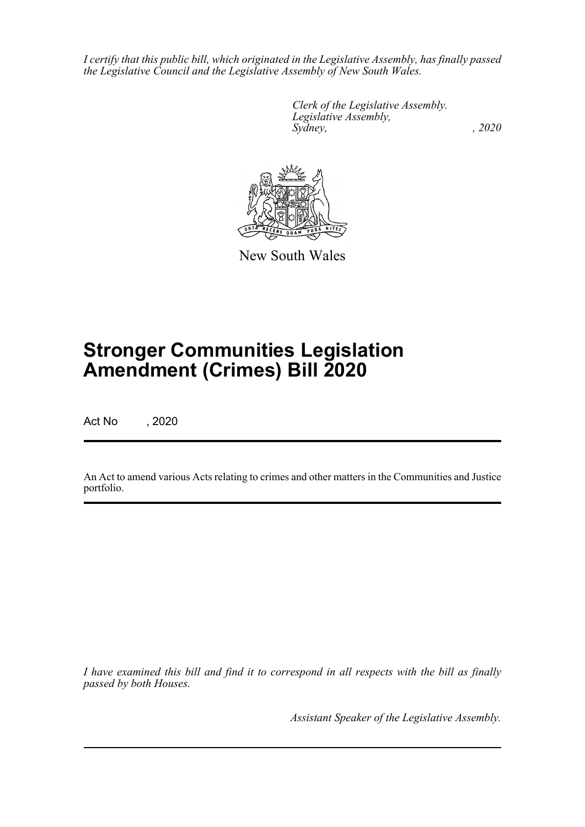*I certify that this public bill, which originated in the Legislative Assembly, has finally passed the Legislative Council and the Legislative Assembly of New South Wales.*

> *Clerk of the Legislative Assembly. Legislative Assembly, Sydney, , 2020*



New South Wales

# **Stronger Communities Legislation Amendment (Crimes) Bill 2020**

Act No , 2020

An Act to amend various Acts relating to crimes and other matters in the Communities and Justice portfolio.

*I have examined this bill and find it to correspond in all respects with the bill as finally passed by both Houses.*

*Assistant Speaker of the Legislative Assembly.*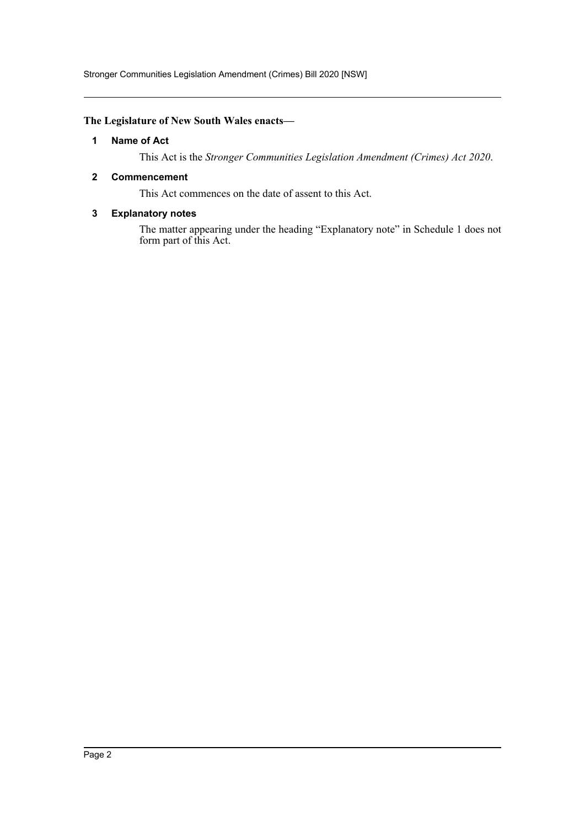Stronger Communities Legislation Amendment (Crimes) Bill 2020 [NSW]

## <span id="page-2-0"></span>**The Legislature of New South Wales enacts—**

## **1 Name of Act**

This Act is the *Stronger Communities Legislation Amendment (Crimes) Act 2020*.

## <span id="page-2-1"></span>**2 Commencement**

This Act commences on the date of assent to this Act.

## <span id="page-2-2"></span>**3 Explanatory notes**

The matter appearing under the heading "Explanatory note" in Schedule 1 does not form part of this Act.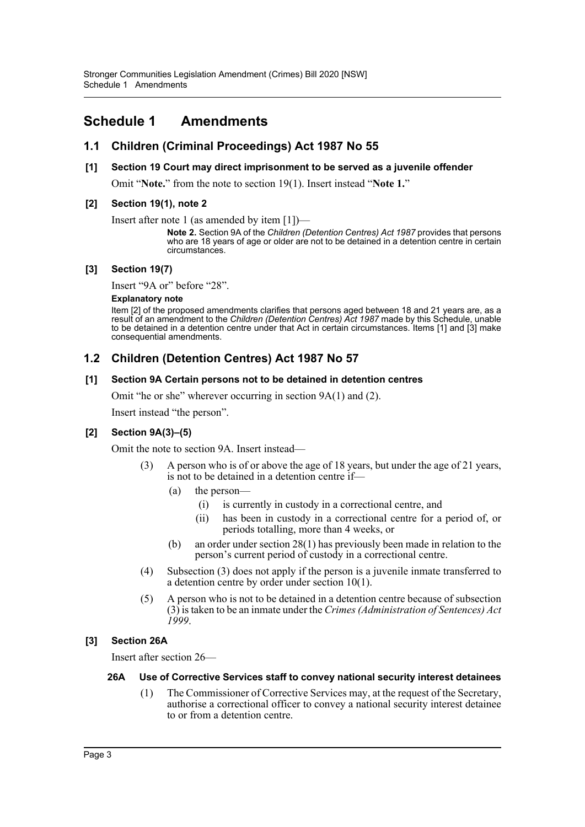# <span id="page-3-0"></span>**Schedule 1 Amendments**

## **1.1 Children (Criminal Proceedings) Act 1987 No 55**

## **[1] Section 19 Court may direct imprisonment to be served as a juvenile offender**

Omit "**Note.**" from the note to section 19(1). Insert instead "**Note 1.**"

## **[2] Section 19(1), note 2**

Insert after note 1 (as amended by item [1])—

**Note 2.** Section 9A of the *Children (Detention Centres) Act 1987* provides that persons who are 18 years of age or older are not to be detained in a detention centre in certain circumstances.

#### **[3] Section 19(7)**

Insert "9A or" before "28".

#### **Explanatory note**

Item [2] of the proposed amendments clarifies that persons aged between 18 and 21 years are, as a result of an amendment to the *Children (Detention Centres) Act 1987* made by this Schedule, unable to be detained in a detention centre under that Act in certain circumstances. Items [1] and [3] make consequential amendments.

# **1.2 Children (Detention Centres) Act 1987 No 57**

## **[1] Section 9A Certain persons not to be detained in detention centres**

Omit "he or she" wherever occurring in section 9A(1) and (2).

Insert instead "the person".

## **[2] Section 9A(3)–(5)**

Omit the note to section 9A. Insert instead—

- (3) A person who is of or above the age of 18 years, but under the age of 21 years, is not to be detained in a detention centre if—
	- (a) the person—
		- (i) is currently in custody in a correctional centre, and
		- (ii) has been in custody in a correctional centre for a period of, or periods totalling, more than 4 weeks, or
	- (b) an order under section 28(1) has previously been made in relation to the person's current period of custody in a correctional centre.
- (4) Subsection (3) does not apply if the person is a juvenile inmate transferred to a detention centre by order under section 10(1).
- (5) A person who is not to be detained in a detention centre because of subsection (3) is taken to be an inmate under the *Crimes (Administration of Sentences) Act 1999*.

## **[3] Section 26A**

Insert after section 26—

#### **26A Use of Corrective Services staff to convey national security interest detainees**

(1) The Commissioner of Corrective Services may, at the request of the Secretary, authorise a correctional officer to convey a national security interest detainee to or from a detention centre.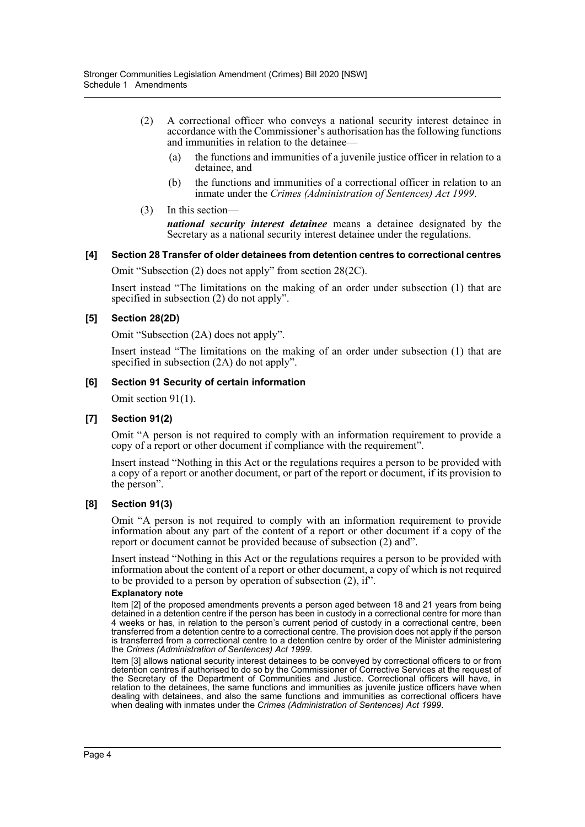- (2) A correctional officer who conveys a national security interest detainee in accordance with the Commissioner's authorisation has the following functions and immunities in relation to the detainee—
	- (a) the functions and immunities of a juvenile justice officer in relation to a detainee, and
	- (b) the functions and immunities of a correctional officer in relation to an inmate under the *Crimes (Administration of Sentences) Act 1999*.
- (3) In this section—

*national security interest detainee* means a detainee designated by the Secretary as a national security interest detainee under the regulations.

#### **[4] Section 28 Transfer of older detainees from detention centres to correctional centres**

Omit "Subsection (2) does not apply" from section 28(2C).

Insert instead "The limitations on the making of an order under subsection (1) that are specified in subsection (2) do not apply".

#### **[5] Section 28(2D)**

Omit "Subsection (2A) does not apply".

Insert instead "The limitations on the making of an order under subsection (1) that are specified in subsection  $(2A)$  do not apply".

#### **[6] Section 91 Security of certain information**

Omit section 91(1).

#### **[7] Section 91(2)**

Omit "A person is not required to comply with an information requirement to provide a copy of a report or other document if compliance with the requirement".

Insert instead "Nothing in this Act or the regulations requires a person to be provided with a copy of a report or another document, or part of the report or document, if its provision to the person".

#### **[8] Section 91(3)**

Omit "A person is not required to comply with an information requirement to provide information about any part of the content of a report or other document if a copy of the report or document cannot be provided because of subsection (2) and".

Insert instead "Nothing in this Act or the regulations requires a person to be provided with information about the content of a report or other document, a copy of which is not required to be provided to a person by operation of subsection (2), if".

#### **Explanatory note**

Item [2] of the proposed amendments prevents a person aged between 18 and 21 years from being detained in a detention centre if the person has been in custody in a correctional centre for more than 4 weeks or has, in relation to the person's current period of custody in a correctional centre, been transferred from a detention centre to a correctional centre. The provision does not apply if the person is transferred from a correctional centre to a detention centre by order of the Minister administering the *Crimes (Administration of Sentences) Act 1999*.

Item [3] allows national security interest detainees to be conveyed by correctional officers to or from detention centres if authorised to do so by the Commissioner of Corrective Services at the request of the Secretary of the Department of Communities and Justice. Correctional officers will have, in relation to the detainees, the same functions and immunities as juvenile justice officers have when dealing with detainees, and also the same functions and immunities as correctional officers have when dealing with inmates under the *Crimes (Administration of Sentences) Act 1999*.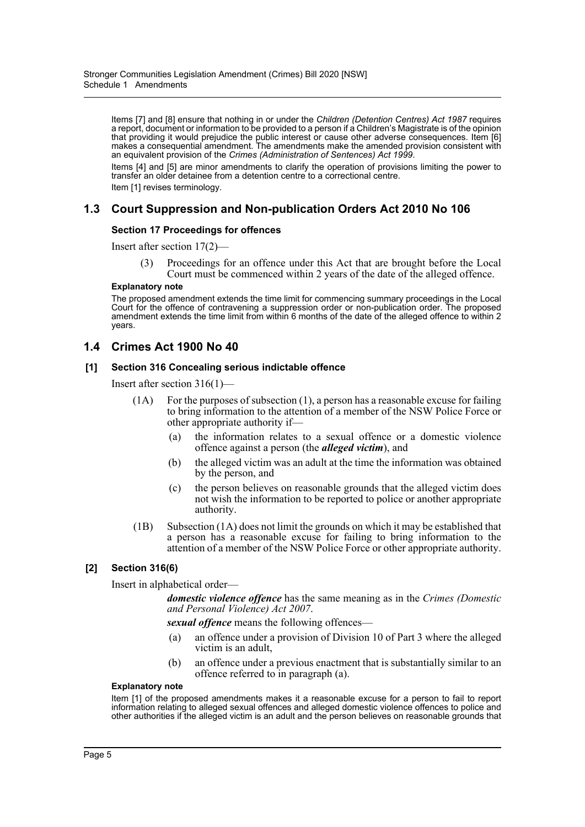Items [7] and [8] ensure that nothing in or under the *Children (Detention Centres) Act 1987* requires a report, document or information to be provided to a person if a Children's Magistrate is of the opinion that providing it would prejudice the public interest or cause other adverse consequences. Item [6] makes a consequential amendment. The amendments make the amended provision consistent with an equivalent provision of the *Crimes (Administration of Sentences) Act 1999*.

Items [4] and [5] are minor amendments to clarify the operation of provisions limiting the power to transfer an older detainee from a detention centre to a correctional centre. Item [1] revises terminology.

## **1.3 Court Suppression and Non-publication Orders Act 2010 No 106**

#### **Section 17 Proceedings for offences**

Insert after section 17(2)—

(3) Proceedings for an offence under this Act that are brought before the Local Court must be commenced within 2 years of the date of the alleged offence.

#### **Explanatory note**

The proposed amendment extends the time limit for commencing summary proceedings in the Local Court for the offence of contravening a suppression order or non-publication order. The proposed amendment extends the time limit from within 6 months of the date of the alleged offence to within 2 years.

## **1.4 Crimes Act 1900 No 40**

#### **[1] Section 316 Concealing serious indictable offence**

Insert after section 316(1)—

- (1A) For the purposes of subsection (1), a person has a reasonable excuse for failing to bring information to the attention of a member of the NSW Police Force or other appropriate authority if—
	- (a) the information relates to a sexual offence or a domestic violence offence against a person (the *alleged victim*), and
	- (b) the alleged victim was an adult at the time the information was obtained by the person, and
	- (c) the person believes on reasonable grounds that the alleged victim does not wish the information to be reported to police or another appropriate authority.
- (1B) Subsection (1A) does not limit the grounds on which it may be established that a person has a reasonable excuse for failing to bring information to the attention of a member of the NSW Police Force or other appropriate authority.

#### **[2] Section 316(6)**

Insert in alphabetical order—

*domestic violence offence* has the same meaning as in the *Crimes (Domestic and Personal Violence) Act 2007*.

*sexual offence* means the following offences—

- (a) an offence under a provision of Division 10 of Part 3 where the alleged victim is an adult,
- (b) an offence under a previous enactment that is substantially similar to an offence referred to in paragraph (a).

#### **Explanatory note**

Item [1] of the proposed amendments makes it a reasonable excuse for a person to fail to report information relating to alleged sexual offences and alleged domestic violence offences to police and other authorities if the alleged victim is an adult and the person believes on reasonable grounds that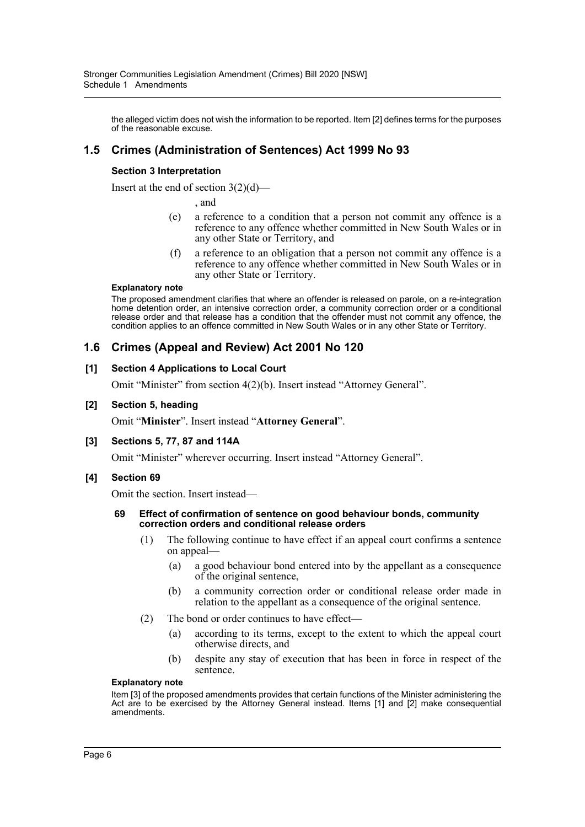the alleged victim does not wish the information to be reported. Item [2] defines terms for the purposes of the reasonable excuse.

## **1.5 Crimes (Administration of Sentences) Act 1999 No 93**

## **Section 3 Interpretation**

Insert at the end of section  $3(2)(d)$ —

, and

- (e) a reference to a condition that a person not commit any offence is a reference to any offence whether committed in New South Wales or in any other State or Territory, and
- (f) a reference to an obligation that a person not commit any offence is a reference to any offence whether committed in New South Wales or in any other State or Territory.

#### **Explanatory note**

The proposed amendment clarifies that where an offender is released on parole, on a re-integration home detention order, an intensive correction order, a community correction order or a conditional release order and that release has a condition that the offender must not commit any offence, the condition applies to an offence committed in New South Wales or in any other State or Territory.

## **1.6 Crimes (Appeal and Review) Act 2001 No 120**

#### **[1] Section 4 Applications to Local Court**

Omit "Minister" from section 4(2)(b). Insert instead "Attorney General".

#### **[2] Section 5, heading**

Omit "**Minister**". Insert instead "**Attorney General**".

#### **[3] Sections 5, 77, 87 and 114A**

Omit "Minister" wherever occurring. Insert instead "Attorney General".

#### **[4] Section 69**

Omit the section. Insert instead—

#### **69 Effect of confirmation of sentence on good behaviour bonds, community correction orders and conditional release orders**

- (1) The following continue to have effect if an appeal court confirms a sentence on appeal—
	- (a) a good behaviour bond entered into by the appellant as a consequence of the original sentence,
	- (b) a community correction order or conditional release order made in relation to the appellant as a consequence of the original sentence.
- (2) The bond or order continues to have effect—
	- (a) according to its terms, except to the extent to which the appeal court otherwise directs, and
	- (b) despite any stay of execution that has been in force in respect of the sentence.

#### **Explanatory note**

Item [3] of the proposed amendments provides that certain functions of the Minister administering the Act are to be exercised by the Attorney General instead. Items [1] and [2] make consequential amendments.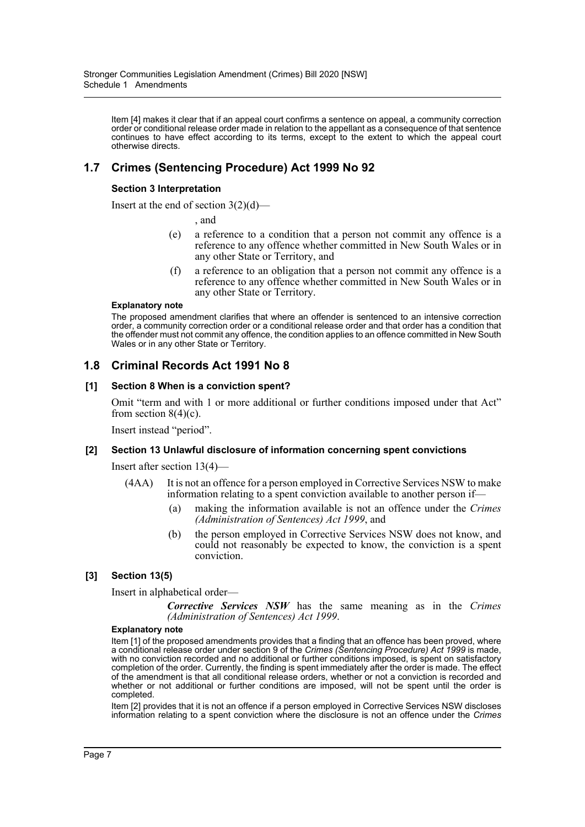Item [4] makes it clear that if an appeal court confirms a sentence on appeal, a community correction order or conditional release order made in relation to the appellant as a consequence of that sentence continues to have effect according to its terms, except to the extent to which the appeal court otherwise directs.

# **1.7 Crimes (Sentencing Procedure) Act 1999 No 92**

## **Section 3 Interpretation**

Insert at the end of section  $3(2)(d)$ —

, and

- (e) a reference to a condition that a person not commit any offence is a reference to any offence whether committed in New South Wales or in any other State or Territory, and
- (f) a reference to an obligation that a person not commit any offence is a reference to any offence whether committed in New South Wales or in any other State or Territory.

#### **Explanatory note**

The proposed amendment clarifies that where an offender is sentenced to an intensive correction order, a community correction order or a conditional release order and that order has a condition that the offender must not commit any offence, the condition applies to an offence committed in New South Wales or in any other State or Territory.

## **1.8 Criminal Records Act 1991 No 8**

## **[1] Section 8 When is a conviction spent?**

Omit "term and with 1 or more additional or further conditions imposed under that Act" from section  $8(4)(c)$ .

Insert instead "period".

## **[2] Section 13 Unlawful disclosure of information concerning spent convictions**

Insert after section 13(4)—

- (4AA) It is not an offence for a person employed in Corrective Services NSW to make information relating to a spent conviction available to another person if-
	- (a) making the information available is not an offence under the *Crimes (Administration of Sentences) Act 1999*, and
	- (b) the person employed in Corrective Services NSW does not know, and could not reasonably be expected to know, the conviction is a spent conviction.

#### **[3] Section 13(5)**

Insert in alphabetical order—

*Corrective Services NSW* has the same meaning as in the *Crimes (Administration of Sentences) Act 1999*.

#### **Explanatory note**

Item [1] of the proposed amendments provides that a finding that an offence has been proved, where a conditional release order under section 9 of the *Crimes (Sentencing Procedure) Act 1999* is made, with no conviction recorded and no additional or further conditions imposed, is spent on satisfactory completion of the order. Currently, the finding is spent immediately after the order is made. The effect of the amendment is that all conditional release orders, whether or not a conviction is recorded and whether or not additional or further conditions are imposed, will not be spent until the order is completed.

Item [2] provides that it is not an offence if a person employed in Corrective Services NSW discloses information relating to a spent conviction where the disclosure is not an offence under the *Crimes*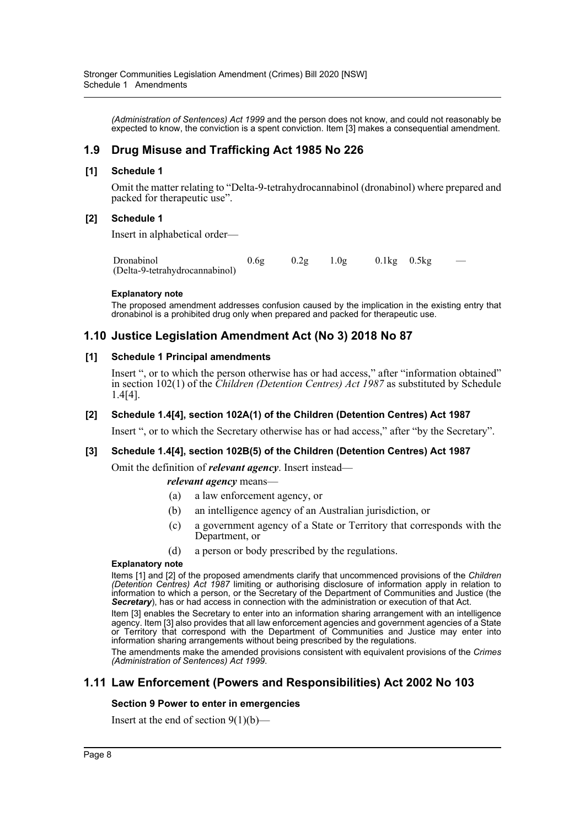*(Administration of Sentences) Act 1999* and the person does not know, and could not reasonably be expected to know, the conviction is a spent conviction. Item [3] makes a consequential amendment.

# **1.9 Drug Misuse and Trafficking Act 1985 No 226**

## **[1] Schedule 1**

Omit the matter relating to "Delta-9-tetrahydrocannabinol (dronabinol) where prepared and packed for therapeutic use".

## **[2] Schedule 1**

Insert in alphabetical order—

| Dronabinol                     | 0.6g | $0.2g$ $1.0g$ | $0.1\text{kg}$ $0.5\text{kg}$ |  |
|--------------------------------|------|---------------|-------------------------------|--|
| (Delta-9-tetrahydrocannabinol) |      |               |                               |  |

#### **Explanatory note**

The proposed amendment addresses confusion caused by the implication in the existing entry that dronabinol is a prohibited drug only when prepared and packed for therapeutic use.

## **1.10 Justice Legislation Amendment Act (No 3) 2018 No 87**

## **[1] Schedule 1 Principal amendments**

Insert ", or to which the person otherwise has or had access," after "information obtained" in section 102(1) of the *Children (Detention Centres) Act 1987* as substituted by Schedule 1.4[4].

## **[2] Schedule 1.4[4], section 102A(1) of the Children (Detention Centres) Act 1987**

Insert ", or to which the Secretary otherwise has or had access," after "by the Secretary".

## **[3] Schedule 1.4[4], section 102B(5) of the Children (Detention Centres) Act 1987**

Omit the definition of *relevant agency*. Insert instead—

#### *relevant agency* means—

- (a) a law enforcement agency, or
- (b) an intelligence agency of an Australian jurisdiction, or
- (c) a government agency of a State or Territory that corresponds with the Department, or
- (d) a person or body prescribed by the regulations.

#### **Explanatory note**

Items [1] and [2] of the proposed amendments clarify that uncommenced provisions of the *Children (Detention Centres) Act 1987* limiting or authorising disclosure of information apply in relation to information to which a person, or the Secretary of the Department of Communities and Justice (the *Secretary*), has or had access in connection with the administration or execution of that Act.

Item [3] enables the Secretary to enter into an information sharing arrangement with an intelligence agency. Item [3] also provides that all law enforcement agencies and government agencies of a State or Territory that correspond with the Department of Communities and Justice may enter into information sharing arrangements without being prescribed by the regulations.

The amendments make the amended provisions consistent with equivalent provisions of the *Crimes (Administration of Sentences) Act 1999*.

## **1.11 Law Enforcement (Powers and Responsibilities) Act 2002 No 103**

## **Section 9 Power to enter in emergencies**

Insert at the end of section  $9(1)(b)$ —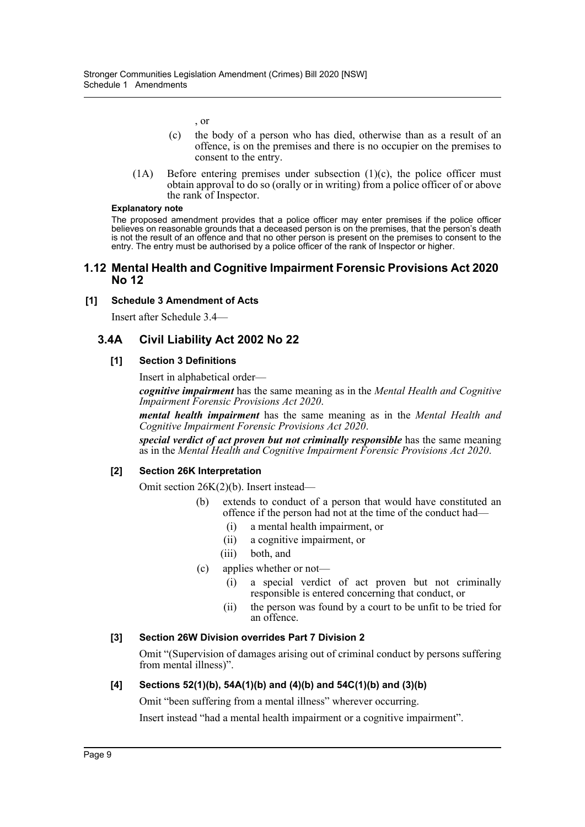, or

- (c) the body of a person who has died, otherwise than as a result of an offence, is on the premises and there is no occupier on the premises to consent to the entry.
- (1A) Before entering premises under subsection (1)(c), the police officer must obtain approval to do so (orally or in writing) from a police officer of or above the rank of Inspector.

#### **Explanatory note**

The proposed amendment provides that a police officer may enter premises if the police officer believes on reasonable grounds that a deceased person is on the premises, that the person's death is not the result of an offence and that no other person is present on the premises to consent to the entry. The entry must be authorised by a police officer of the rank of Inspector or higher.

#### **1.12 Mental Health and Cognitive Impairment Forensic Provisions Act 2020 No 12**

## **[1] Schedule 3 Amendment of Acts**

Insert after Schedule 3.4—

## **3.4A Civil Liability Act 2002 No 22**

#### **[1] Section 3 Definitions**

Insert in alphabetical order—

*cognitive impairment* has the same meaning as in the *Mental Health and Cognitive Impairment Forensic Provisions Act 2020*.

*mental health impairment* has the same meaning as in the *Mental Health and Cognitive Impairment Forensic Provisions Act 2020*.

*special verdict of act proven but not criminally responsible* has the same meaning as in the *Mental Health and Cognitive Impairment Forensic Provisions Act 2020*.

#### **[2] Section 26K Interpretation**

Omit section 26K(2)(b). Insert instead—

- (b) extends to conduct of a person that would have constituted an offence if the person had not at the time of the conduct had—
	- (i) a mental health impairment, or
	- (ii) a cognitive impairment, or
	- (iii) both, and
- (c) applies whether or not—
	- (i) a special verdict of act proven but not criminally responsible is entered concerning that conduct, or
	- (ii) the person was found by a court to be unfit to be tried for an offence.

#### **[3] Section 26W Division overrides Part 7 Division 2**

Omit "(Supervision of damages arising out of criminal conduct by persons suffering from mental illness)".

## **[4] Sections 52(1)(b), 54A(1)(b) and (4)(b) and 54C(1)(b) and (3)(b)**

Omit "been suffering from a mental illness" wherever occurring.

Insert instead "had a mental health impairment or a cognitive impairment".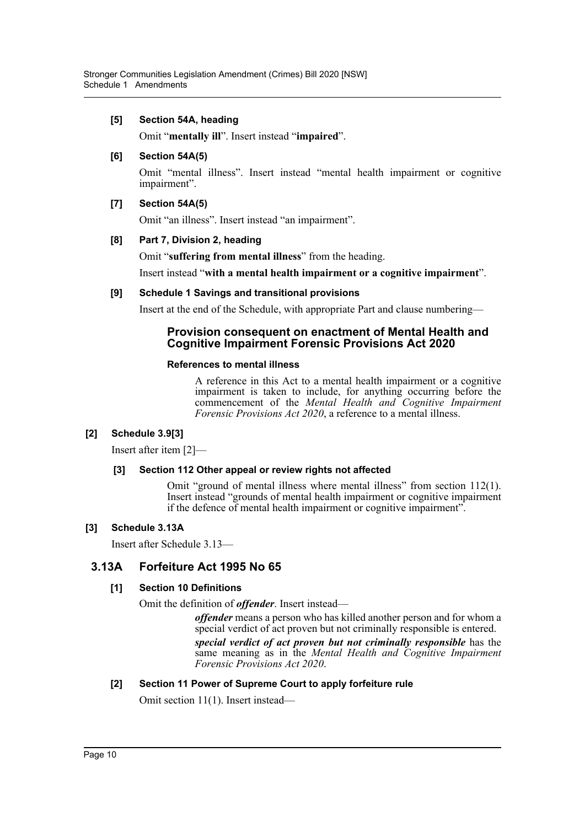## **[5] Section 54A, heading**

Omit "**mentally ill**". Insert instead "**impaired**".

## **[6] Section 54A(5)**

Omit "mental illness". Insert instead "mental health impairment or cognitive impairment".

## **[7] Section 54A(5)**

Omit "an illness". Insert instead "an impairment".

## **[8] Part 7, Division 2, heading**

Omit "**suffering from mental illness**" from the heading.

Insert instead "**with a mental health impairment or a cognitive impairment**".

## **[9] Schedule 1 Savings and transitional provisions**

Insert at the end of the Schedule, with appropriate Part and clause numbering—

## **Provision consequent on enactment of Mental Health and Cognitive Impairment Forensic Provisions Act 2020**

## **References to mental illness**

A reference in this Act to a mental health impairment or a cognitive impairment is taken to include, for anything occurring before the commencement of the *Mental Health and Cognitive Impairment Forensic Provisions Act 2020*, a reference to a mental illness.

## **[2] Schedule 3.9[3]**

Insert after item [2]—

## **[3] Section 112 Other appeal or review rights not affected**

Omit "ground of mental illness where mental illness" from section 112(1). Insert instead "grounds of mental health impairment or cognitive impairment if the defence of mental health impairment or cognitive impairment".

## **[3] Schedule 3.13A**

Insert after Schedule 3.13—

## **3.13A Forfeiture Act 1995 No 65**

## **[1] Section 10 Definitions**

Omit the definition of *offender*. Insert instead—

*offender* means a person who has killed another person and for whom a special verdict of act proven but not criminally responsible is entered.

*special verdict of act proven but not criminally responsible* has the same meaning as in the *Mental Health and Cognitive Impairment Forensic Provisions Act 2020*.

## **[2] Section 11 Power of Supreme Court to apply forfeiture rule**

Omit section 11(1). Insert instead—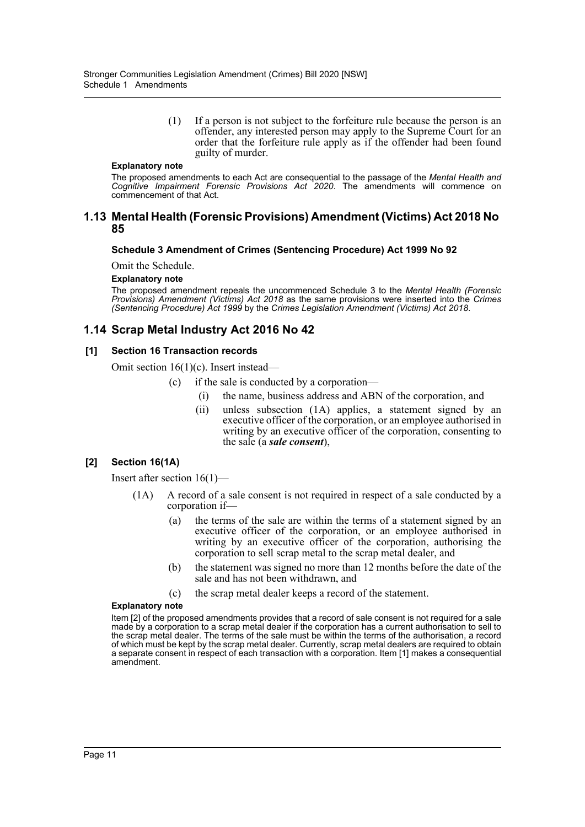(1) If a person is not subject to the forfeiture rule because the person is an offender, any interested person may apply to the Supreme Court for an order that the forfeiture rule apply as if the offender had been found guilty of murder.

#### **Explanatory note**

The proposed amendments to each Act are consequential to the passage of the *Mental Health and Cognitive Impairment Forensic Provisions Act 2020*. The amendments will commence on commencement of that Act.

#### **1.13 Mental Health (Forensic Provisions) Amendment (Victims) Act 2018 No 85**

#### **Schedule 3 Amendment of Crimes (Sentencing Procedure) Act 1999 No 92**

Omit the Schedule.

#### **Explanatory note**

The proposed amendment repeals the uncommenced Schedule 3 to the *Mental Health (Forensic Provisions) Amendment (Victims) Act 2018* as the same provisions were inserted into the *Crimes (Sentencing Procedure) Act 1999* by the *Crimes Legislation Amendment (Victims) Act 2018*.

## **1.14 Scrap Metal Industry Act 2016 No 42**

#### **[1] Section 16 Transaction records**

Omit section 16(1)(c). Insert instead—

- (c) if the sale is conducted by a corporation—
	- (i) the name, business address and ABN of the corporation, and
	- (ii) unless subsection (1A) applies, a statement signed by an executive officer of the corporation, or an employee authorised in writing by an executive officer of the corporation, consenting to the sale (a *sale consent*),

#### **[2] Section 16(1A)**

Insert after section 16(1)—

- (1A) A record of a sale consent is not required in respect of a sale conducted by a corporation if—
	- (a) the terms of the sale are within the terms of a statement signed by an executive officer of the corporation, or an employee authorised in writing by an executive officer of the corporation, authorising the corporation to sell scrap metal to the scrap metal dealer, and
	- (b) the statement was signed no more than 12 months before the date of the sale and has not been withdrawn, and
	- (c) the scrap metal dealer keeps a record of the statement.

#### **Explanatory note**

Item [2] of the proposed amendments provides that a record of sale consent is not required for a sale made by a corporation to a scrap metal dealer if the corporation has a current authorisation to sell to the scrap metal dealer. The terms of the sale must be within the terms of the authorisation, a record of which must be kept by the scrap metal dealer. Currently, scrap metal dealers are required to obtain a separate consent in respect of each transaction with a corporation. Item [1] makes a consequential amendment.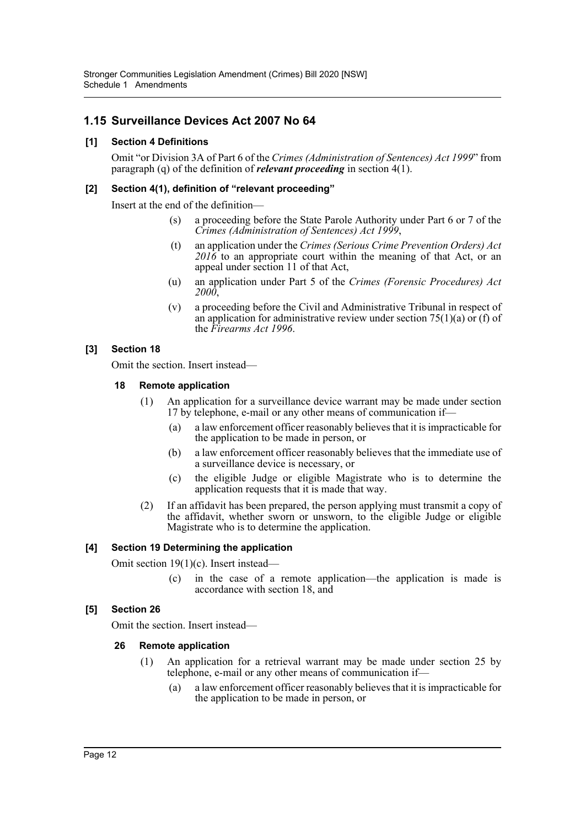# **1.15 Surveillance Devices Act 2007 No 64**

## **[1] Section 4 Definitions**

Omit "or Division 3A of Part 6 of the *Crimes (Administration of Sentences) Act 1999*" from paragraph (q) of the definition of *relevant proceeding* in section 4(1).

## **[2] Section 4(1), definition of "relevant proceeding"**

Insert at the end of the definition—

- (s) a proceeding before the State Parole Authority under Part 6 or 7 of the *Crimes (Administration of Sentences) Act 1999*,
- (t) an application under the *Crimes (Serious Crime Prevention Orders) Act 2016* to an appropriate court within the meaning of that Act, or an appeal under section 11 of that Act,
- (u) an application under Part 5 of the *Crimes (Forensic Procedures) Act 2000*,
- (v) a proceeding before the Civil and Administrative Tribunal in respect of an application for administrative review under section  $75(1)(a)$  or (f) of the *Firearms Act 1996*.

## **[3] Section 18**

Omit the section. Insert instead—

## **18 Remote application**

- (1) An application for a surveillance device warrant may be made under section 17 by telephone, e-mail or any other means of communication if—
	- (a) a law enforcement officer reasonably believes that it is impracticable for the application to be made in person, or
	- (b) a law enforcement officer reasonably believes that the immediate use of a surveillance device is necessary, or
	- (c) the eligible Judge or eligible Magistrate who is to determine the application requests that it is made that way.
- (2) If an affidavit has been prepared, the person applying must transmit a copy of the affidavit, whether sworn or unsworn, to the eligible Judge or eligible Magistrate who is to determine the application.

## **[4] Section 19 Determining the application**

Omit section 19(1)(c). Insert instead—

in the case of a remote application—the application is made is accordance with section 18, and

## **[5] Section 26**

Omit the section. Insert instead—

## **26 Remote application**

- (1) An application for a retrieval warrant may be made under section 25 by telephone, e-mail or any other means of communication if—
	- (a) a law enforcement officer reasonably believes that it is impracticable for the application to be made in person, or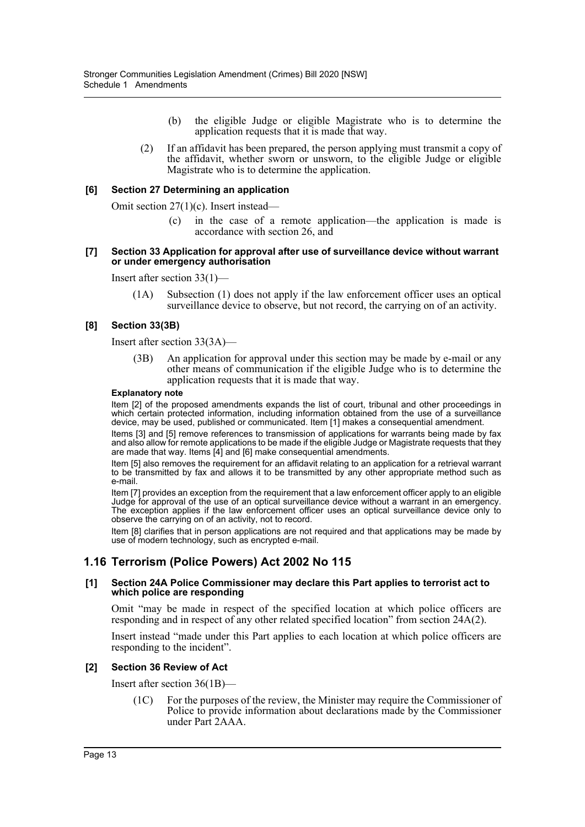- (b) the eligible Judge or eligible Magistrate who is to determine the application requests that it is made that way.
- (2) If an affidavit has been prepared, the person applying must transmit a copy of the affidavit, whether sworn or unsworn, to the eligible Judge or eligible Magistrate who is to determine the application.

#### **[6] Section 27 Determining an application**

Omit section 27(1)(c). Insert instead—

(c) in the case of a remote application—the application is made is accordance with section 26, and

#### **[7] Section 33 Application for approval after use of surveillance device without warrant or under emergency authorisation**

Insert after section 33(1)—

(1A) Subsection (1) does not apply if the law enforcement officer uses an optical surveillance device to observe, but not record, the carrying on of an activity.

## **[8] Section 33(3B)**

Insert after section 33(3A)—

(3B) An application for approval under this section may be made by e-mail or any other means of communication if the eligible Judge who is to determine the application requests that it is made that way.

#### **Explanatory note**

Item [2] of the proposed amendments expands the list of court, tribunal and other proceedings in which certain protected information, including information obtained from the use of a surveillance device, may be used, published or communicated. Item [1] makes a consequential amendment.

Items [3] and [5] remove references to transmission of applications for warrants being made by fax and also allow for remote applications to be made if the eligible Judge or Magistrate requests that they are made that way. Items [4] and [6] make consequential amendments.

Item [5] also removes the requirement for an affidavit relating to an application for a retrieval warrant to be transmitted by fax and allows it to be transmitted by any other appropriate method such as e-mail.

Item [7] provides an exception from the requirement that a law enforcement officer apply to an eligible Judge for approval of the use of an optical surveillance device without a warrant in an emergency. The exception applies if the law enforcement officer uses an optical surveillance device only to observe the carrying on of an activity, not to record.

Item [8] clarifies that in person applications are not required and that applications may be made by use of modern technology, such as encrypted e-mail.

## **1.16 Terrorism (Police Powers) Act 2002 No 115**

#### **[1] Section 24A Police Commissioner may declare this Part applies to terrorist act to which police are responding**

Omit "may be made in respect of the specified location at which police officers are responding and in respect of any other related specified location" from section 24A(2).

Insert instead "made under this Part applies to each location at which police officers are responding to the incident".

#### **[2] Section 36 Review of Act**

Insert after section 36(1B)—

(1C) For the purposes of the review, the Minister may require the Commissioner of Police to provide information about declarations made by the Commissioner under Part 2AAA.